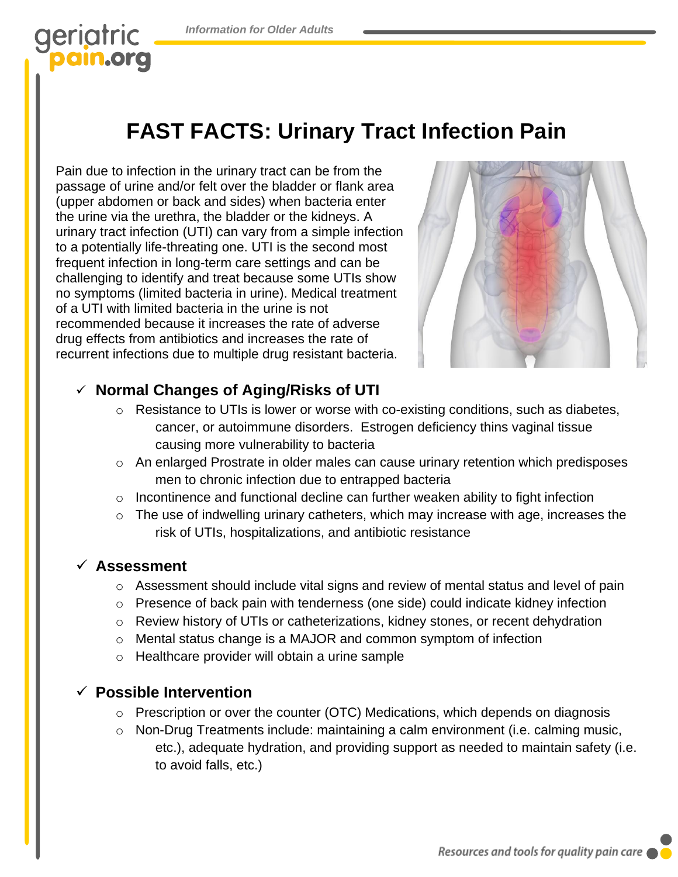## geriatric pain.org

# **FAST FACTS: Urinary Tract Infection Pain**

Pain due to infection in the urinary tract can be from the passage of urine and/or felt over the bladder or flank area (upper abdomen or back and sides) when bacteria enter the urine via the urethra, the bladder or the kidneys. A urinary tract infection (UTI) can vary from a simple infection to a potentially life-threating one. UTI is the second most frequent infection in long-term care settings and can be challenging to identify and treat because some UTIs show no symptoms (limited bacteria in urine). Medical treatment of a UTI with limited bacteria in the urine is not recommended because it increases the rate of adverse drug effects from antibiotics and increases the rate of recurrent infections due to multiple drug resistant bacteria.



### ✓ **Normal Changes of Aging/Risks of UTI**

- o Resistance to UTIs is lower or worse with co-existing conditions, such as diabetes, cancer, or autoimmune disorders. Estrogen deficiency thins vaginal tissue causing more vulnerability to bacteria
- o An enlarged Prostrate in older males can cause urinary retention which predisposes men to chronic infection due to entrapped bacteria
- $\circ$  Incontinence and functional decline can further weaken ability to fight infection
- o The use of indwelling urinary catheters, which may increase with age, increases the risk of UTIs, hospitalizations, and antibiotic resistance

#### ✓ **Assessment**

- $\circ$  Assessment should include vital signs and review of mental status and level of pain
- o Presence of back pain with tenderness (one side) could indicate kidney infection
- o Review history of UTIs or catheterizations, kidney stones, or recent dehydration
- o Mental status change is a MAJOR and common symptom of infection
- o Healthcare provider will obtain a urine sample

### ✓ **Possible Intervention**

- o Prescription or over the counter (OTC) Medications, which depends on diagnosis
- o Non-Drug Treatments include: maintaining a calm environment (i.e. calming music, etc.), adequate hydration, and providing support as needed to maintain safety (i.e. to avoid falls, etc.)